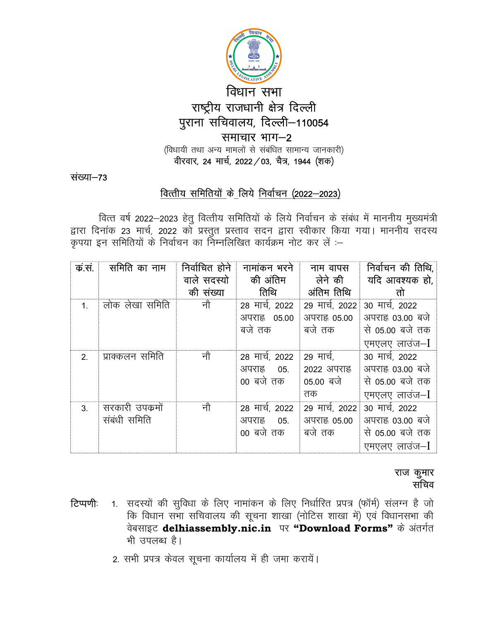

संख्या-73

# वित्तीय समितियों के लिये निर्वाचन (2022-2023)

वित्त वर्ष 2022–2023 हेतु वित्तीय समितियों के लिये निर्वाचन के संबंध में माननीय मुख्यमंत्री द्वारा दिनांक 23 मार्च, 2022 को प्रस्तुत प्रस्ताव सदन द्वारा स्वीकार किया गया। माननीय सदस्य कृपया इन समितियों के निर्वाचन का निम्नलिखित कार्यक्रम नोट कर लें :-

| क.स.           | समिति का नाम                    | निर्वाचित होने<br>वाले सदस्यो<br>की संख्या | नामांकन भरने<br>की अंतिम<br>तिथि              | नाम वापस<br>लेने की<br>अंतिम तिथि          | निर्वाचन की तिथि,<br>यदि आवश्यक हो,<br>तो                               |
|----------------|---------------------------------|--------------------------------------------|-----------------------------------------------|--------------------------------------------|-------------------------------------------------------------------------|
| $\mathbf{1}$   | लोक लेखा समिति                  | नौ                                         | 28 मार्च, 2022<br>अपराह 05.00<br>बजे तक       | 29 मार्च, 2022<br>अपराह 05.00<br>बजे तक    | 30 मार्च, 2022<br>अपराह 03.00 बजे<br>से 05.00 बजे तक<br>एमएलए लाउंज-I   |
| 2.             | प्राक्कलन समिति                 | नौ                                         | 28 मार्च, 2022<br>अपराह्न<br>05.<br>00 बजे तक | 29 मार्च,<br>2022 अपराह<br>05.00 बजे<br>तक | 30 मार्च, 2022<br>अपराह 03.00 बजे<br>से 05.00 बजे तक<br>एमएलए लाउंज-I   |
| 3 <sub>1</sub> | सरकारी उपक्रमों<br>संबंधी समिति | नौ                                         | 28 मार्च, 2022<br>अपराह 05.<br>00 बजे तक      | 29 मार्च, 2022<br>अपराह 05.00<br>बजे तक    | 30 मार्च, 2022<br>अपराह्न 03.00 बजे<br>से 05.00 बजे तक<br>एमएलए लाउंज-I |

### राज कुमार सचिव

- 1. सदस्यों की सुविधा के लिए नामांकन के लिए निर्धारित प्रपत्र (फॉर्म) संलग्न है जो टिप्पणीः कि विधान सभा सचिवालय की सूचना शाखा (नोटिस शाखा में) एवं विधानसभा की वेबसाइट delhiassembly.nic.in पर "Download Forms" के अंतर्गत भी उपलब्ध है।
	- 2. सभी प्रपत्र केवल सूचना कार्यालय में ही जमा करायें।